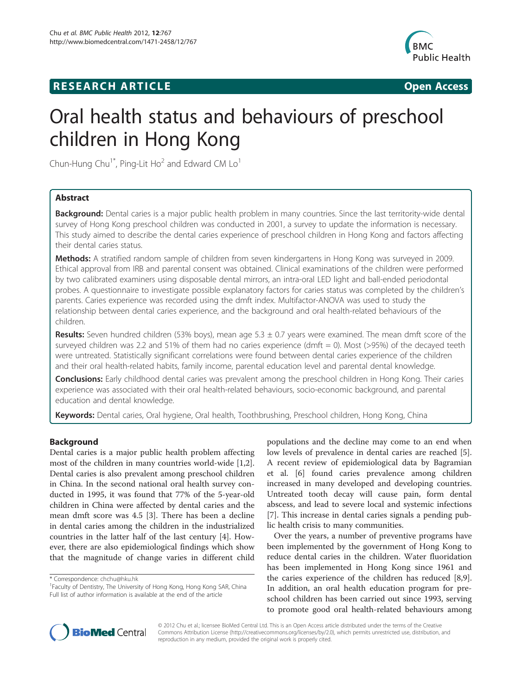## **RESEARCH ARTICLE Example 2018 12:00 Open Access**



# Oral health status and behaviours of preschool children in Hong Kong

Chun-Hung Chu<sup>1\*</sup>, Ping-Lit Ho<sup>2</sup> and Edward CM Lo<sup>1</sup>

## Abstract

Background: Dental caries is a major public health problem in many countries. Since the last territority-wide dental survey of Hong Kong preschool children was conducted in 2001, a survey to update the information is necessary. This study aimed to describe the dental caries experience of preschool children in Hong Kong and factors affecting their dental caries status.

Methods: A stratified random sample of children from seven kindergartens in Hong Kong was surveyed in 2009. Ethical approval from IRB and parental consent was obtained. Clinical examinations of the children were performed by two calibrated examiners using disposable dental mirrors, an intra-oral LED light and ball-ended periodontal probes. A questionnaire to investigate possible explanatory factors for caries status was completed by the children's parents. Caries experience was recorded using the dmft index. Multifactor-ANOVA was used to study the relationship between dental caries experience, and the background and oral health-related behaviours of the children.

**Results:** Seven hundred children (53% boys), mean age 5.3  $\pm$  0.7 years were examined. The mean dmft score of the surveyed children was 2.2 and 51% of them had no caries experience (dmft = 0). Most (>95%) of the decayed teeth were untreated. Statistically significant correlations were found between dental caries experience of the children and their oral health-related habits, family income, parental education level and parental dental knowledge.

Conclusions: Early childhood dental caries was prevalent among the preschool children in Hong Kong. Their caries experience was associated with their oral health-related behaviours, socio-economic background, and parental education and dental knowledge.

Keywords: Dental caries, Oral hygiene, Oral health, Toothbrushing, Preschool children, Hong Kong, China

## Background

Dental caries is a major public health problem affecting most of the children in many countries world-wide [\[1,2](#page-6-0)]. Dental caries is also prevalent among preschool children in China. In the second national oral health survey conducted in 1995, it was found that 77% of the 5-year-old children in China were affected by dental caries and the mean dmft score was 4.5 [[3\]](#page-6-0). There has been a decline in dental caries among the children in the industrialized countries in the latter half of the last century [[4](#page-6-0)]. However, there are also epidemiological findings which show that the magnitude of change varies in different child

\* Correspondence: [chchu@hku.hk](mailto:chchu@hku.hk) <sup>1</sup>

<sup>1</sup>Faculty of Dentistry, The University of Hong Kong, Hong Kong SAR, China Full list of author information is available at the end of the article

populations and the decline may come to an end when low levels of prevalence in dental caries are reached [\[5](#page-6-0)]. A recent review of epidemiological data by Bagramian et al. [[6\]](#page-6-0) found caries prevalence among children increased in many developed and developing countries. Untreated tooth decay will cause pain, form dental abscess, and lead to severe local and systemic infections [[7\]](#page-6-0). This increase in dental caries signals a pending public health crisis to many communities.

Over the years, a number of preventive programs have been implemented by the government of Hong Kong to reduce dental caries in the children. Water fluoridation has been implemented in Hong Kong since 1961 and the caries experience of the children has reduced [\[8,9](#page-6-0)]. In addition, an oral health education program for preschool children has been carried out since 1993, serving to promote good oral health-related behaviours among



© 2012 Chu et al.; licensee BioMed Central Ltd. This is an Open Access article distributed under the terms of the Creative Commons Attribution License [\(http://creativecommons.org/licenses/by/2.0\)](http://creativecommons.org/licenses/by/2.0), which permits unrestricted use, distribution, and reproduction in any medium, provided the original work is properly cited.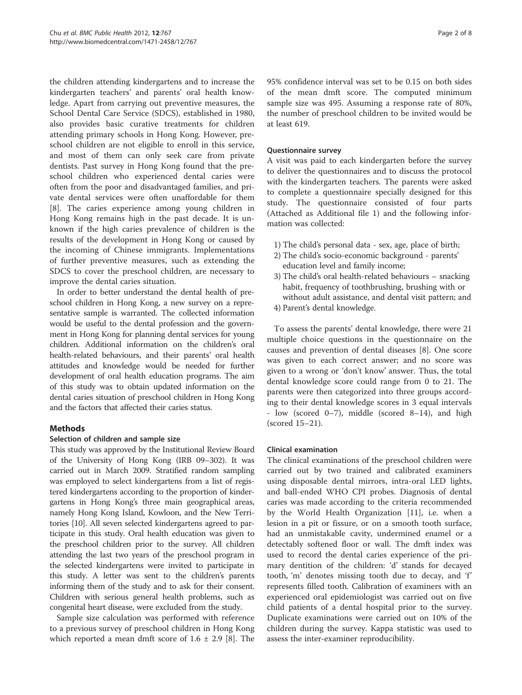the children attending kindergartens and to increase the kindergarten teachers' and parents' oral health knowledge. Apart from carrying out preventive measures, the School Dental Care Service (SDCS), established in 1980, also provides basic curative treatments for children attending primary schools in Hong Kong. However, preschool children are not eligible to enroll in this service, and most of them can only seek care from private dentists. Past survey in Hong Kong found that the preschool children who experienced dental caries were often from the poor and disadvantaged families, and private dental services were often unaffordable for them [[8\]](#page-6-0). The caries experience among young children in Hong Kong remains high in the past decade. It is unknown if the high caries prevalence of children is the results of the development in Hong Kong or caused by the incoming of Chinese immigrants. Implementations of further preventive measures, such as extending the SDCS to cover the preschool children, are necessary to improve the dental caries situation.

In order to better understand the dental health of preschool children in Hong Kong, a new survey on a representative sample is warranted. The collected information would be useful to the dental profession and the government in Hong Kong for planning dental services for young children. Additional information on the children's oral health-related behaviours, and their parents' oral health attitudes and knowledge would be needed for further development of oral health education programs. The aim of this study was to obtain updated information on the dental caries situation of preschool children in Hong Kong and the factors that affected their caries status.

## Methods

## Selection of children and sample size

This study was approved by the Institutional Review Board of the University of Hong Kong (IRB 09–302). It was carried out in March 2009. Stratified random sampling was employed to select kindergartens from a list of registered kindergartens according to the proportion of kindergartens in Hong Kong's three main geographical areas, namely Hong Kong Island, Kowloon, and the New Territories [[10](#page-6-0)]. All seven selected kindergartens agreed to participate in this study. Oral health education was given to the preschool children prior to the survey. All children attending the last two years of the preschool program in the selected kindergartens were invited to participate in this study. A letter was sent to the children's parents informing them of the study and to ask for their consent. Children with serious general health problems, such as congenital heart disease, were excluded from the study.

Sample size calculation was performed with reference to a previous survey of preschool children in Hong Kong which reported a mean dmft score of  $1.6 \pm 2.9$  [[8](#page-6-0)]. The 95% confidence interval was set to be 0.15 on both sides of the mean dmft score. The computed minimum sample size was 495. Assuming a response rate of 80%, the number of preschool children to be invited would be at least 619.

#### Questionnaire survey

A visit was paid to each kindergarten before the survey to deliver the questionnaires and to discuss the protocol with the kindergarten teachers. The parents were asked to complete a questionnaire specially designed for this study. The questionnaire consisted of four parts (Attached as Additional file [1](#page-6-0)) and the following information was collected:

- 1) The child's personal data sex, age, place of birth;
- 2) The child's socio-economic background parents' education level and family income;
- 3) The child's oral health-related behaviours snacking habit, frequency of toothbrushing, brushing with or without adult assistance, and dental visit pattern; and
- 4) Parent's dental knowledge.

To assess the parents' dental knowledge, there were 21 multiple choice questions in the questionnaire on the causes and prevention of dental diseases [[8\]](#page-6-0). One score was given to each correct answer; and no score was given to a wrong or 'don't know' answer. Thus, the total dental knowledge score could range from 0 to 21. The parents were then categorized into three groups according to their dental knowledge scores in 3 equal intervals - low (scored 0–7), middle (scored 8–14), and high (scored 15–21).

## Clinical examination

The clinical examinations of the preschool children were carried out by two trained and calibrated examiners using disposable dental mirrors, intra-oral LED lights, and ball-ended WHO CPI probes. Diagnosis of dental caries was made according to the criteria recommended by the World Health Organization [[11\]](#page-6-0), i.e. when a lesion in a pit or fissure, or on a smooth tooth surface, had an unmistakable cavity, undermined enamel or a detectably softened floor or wall. The dmft index was used to record the dental caries experience of the primary dentition of the children: 'd' stands for decayed tooth, 'm' denotes missing tooth due to decay, and 'f' represents filled tooth. Calibration of examiners with an experienced oral epidemiologist was carried out on five child patients of a dental hospital prior to the survey. Duplicate examinations were carried out on 10% of the children during the survey. Kappa statistic was used to assess the inter-examiner reproducibility.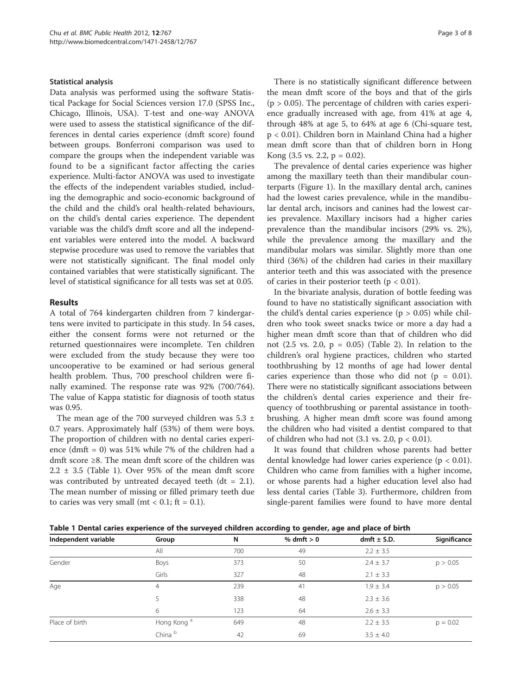#### Statistical analysis

Data analysis was performed using the software Statistical Package for Social Sciences version 17.0 (SPSS Inc., Chicago, Illinois, USA). T-test and one-way ANOVA were used to assess the statistical significance of the differences in dental caries experience (dmft score) found between groups. Bonferroni comparison was used to compare the groups when the independent variable was found to be a significant factor affecting the caries experience. Multi-factor ANOVA was used to investigate the effects of the independent variables studied, including the demographic and socio-economic background of the child and the child's oral health-related behaviours, on the child's dental caries experience. The dependent variable was the child's dmft score and all the independent variables were entered into the model. A backward stepwise procedure was used to remove the variables that were not statistically significant. The final model only contained variables that were statistically significant. The level of statistical significance for all tests was set at 0.05.

#### Results

A total of 764 kindergarten children from 7 kindergartens were invited to participate in this study. In 54 cases, either the consent forms were not returned or the returned questionnaires were incomplete. Ten children were excluded from the study because they were too uncooperative to be examined or had serious general health problem. Thus, 700 preschool children were finally examined. The response rate was 92% (700/764). The value of Kappa statistic for diagnosis of tooth status was 0.95.

The mean age of the 700 surveyed children was  $5.3 \pm$ 0.7 years. Approximately half (53%) of them were boys. The proportion of children with no dental caries experience (dmft = 0) was 51% while 7% of the children had a dmft score ≥8. The mean dmft score of the children was  $2.2 \pm 3.5$  (Table 1). Over 95% of the mean dmft score was contributed by untreated decayed teeth (dt =  $2.1$ ). The mean number of missing or filled primary teeth due to caries was very small (mt < 0.1; ft = 0.1).

There is no statistically significant difference between the mean dmft score of the boys and that of the girls  $(p > 0.05)$ . The percentage of children with caries experience gradually increased with age, from 41% at age 4, through 48% at age 5, to 64% at age 6 (Chi-square test, p < 0.01). Children born in Mainland China had a higher mean dmft score than that of children born in Hong Kong  $(3.5 \text{ vs. } 2.2, \text{ p} = 0.02)$ .

The prevalence of dental caries experience was higher among the maxillary teeth than their mandibular counterparts (Figure [1](#page-3-0)). In the maxillary dental arch, canines had the lowest caries prevalence, while in the mandibular dental arch, incisors and canines had the lowest caries prevalence. Maxillary incisors had a higher caries prevalence than the mandibular incisors (29% vs. 2%), while the prevalence among the maxillary and the mandibular molars was similar. Slightly more than one third (36%) of the children had caries in their maxillary anterior teeth and this was associated with the presence of caries in their posterior teeth ( $p < 0.01$ ).

In the bivariate analysis, duration of bottle feeding was found to have no statistically significant association with the child's dental caries experience  $(p > 0.05)$  while children who took sweet snacks twice or more a day had a higher mean dmft score than that of children who did not  $(2.5 \text{ vs. } 2.0, \text{ p} = 0.05)$  (Table [2\)](#page-4-0). In relation to the children's oral hygiene practices, children who started toothbrushing by 12 months of age had lower dental caries experience than those who did not  $(p = 0.01)$ . There were no statistically significant associations between the children's dental caries experience and their frequency of toothbrushing or parental assistance in toothbrushing. A higher mean dmft score was found among the children who had visited a dentist compared to that of children who had not  $(3.1 \text{ vs. } 2.0, \text{ p} < 0.01)$ .

It was found that children whose parents had better dental knowledge had lower caries experience  $(p < 0.01)$ . Children who came from families with a higher income, or whose parents had a higher education level also had less dental caries (Table [3\)](#page-4-0). Furthermore, children from single-parent families were found to have more dental

Table 1 Dental caries experience of the surveyed children according to gender, age and place of birth

|                        | N     | % dmft $> 0$ | dmft $\pm$ S.D. | Significance |
|------------------------|-------|--------------|-----------------|--------------|
| All                    | 700   | 49           | $2.2 \pm 3.5$   |              |
| Boys                   | 373   | 50           | $2.4 \pm 3.7$   | p > 0.05     |
| Girls                  | 327   | 48           | $2.1 \pm 3.3$   |              |
| 4                      | 239   | 41           | $1.9 \pm 3.4$   | p > 0.05     |
|                        | 338   | 48           | $2.3 \pm 3.6$   |              |
| 6                      | 123   | 64           | $2.6 \pm 3.3$   |              |
| Hong Kong <sup>a</sup> | 649   | 48           | $2.2 \pm 3.5$   | $p = 0.02$   |
| China <sup>b</sup>     | 42    | 69           | $3.5 \pm 4.0$   |              |
|                        | Group |              |                 |              |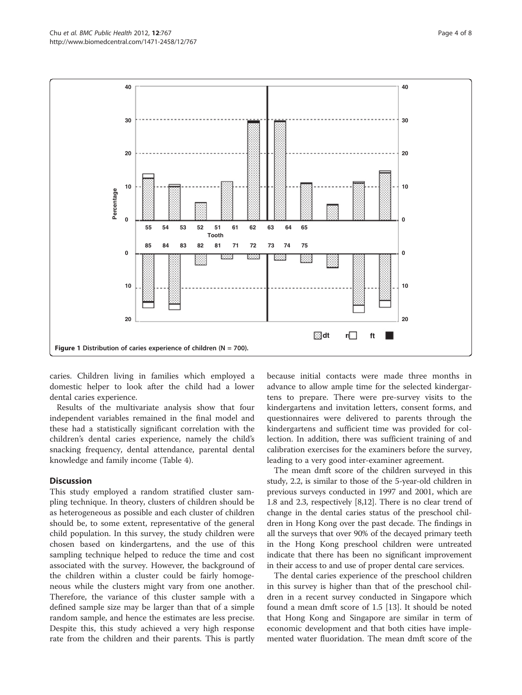<span id="page-3-0"></span>

Figure 1 Distribution of caries experience of children ( $N = 700$ ).

caries. Children living in families which employed a domestic helper to look after the child had a lower dental caries experience.

Results of the multivariate analysis show that four independent variables remained in the final model and these had a statistically significant correlation with the children's dental caries experience, namely the child's snacking frequency, dental attendance, parental dental knowledge and family income (Table [4](#page-5-0)).

## **Discussion**

This study employed a random stratified cluster sampling technique. In theory, clusters of children should be as heterogeneous as possible and each cluster of children should be, to some extent, representative of the general child population. In this survey, the study children were chosen based on kindergartens, and the use of this sampling technique helped to reduce the time and cost associated with the survey. However, the background of the children within a cluster could be fairly homogeneous while the clusters might vary from one another. Therefore, the variance of this cluster sample with a defined sample size may be larger than that of a simple random sample, and hence the estimates are less precise. Despite this, this study achieved a very high response rate from the children and their parents. This is partly

because initial contacts were made three months in advance to allow ample time for the selected kindergartens to prepare. There were pre-survey visits to the kindergartens and invitation letters, consent forms, and questionnaires were delivered to parents through the kindergartens and sufficient time was provided for collection. In addition, there was sufficient training of and calibration exercises for the examiners before the survey, leading to a very good inter-examiner agreement.

**dt ft** 

The mean dmft score of the children surveyed in this study, 2.2, is similar to those of the 5-year-old children in previous surveys conducted in 1997 and 2001, which are 1.8 and 2.3, respectively [\[8,12](#page-6-0)]. There is no clear trend of change in the dental caries status of the preschool children in Hong Kong over the past decade. The findings in all the surveys that over 90% of the decayed primary teeth in the Hong Kong preschool children were untreated indicate that there has been no significant improvement in their access to and use of proper dental care services.

The dental caries experience of the preschool children in this survey is higher than that of the preschool children in a recent survey conducted in Singapore which found a mean dmft score of 1.5 [\[13](#page-6-0)]. It should be noted that Hong Kong and Singapore are similar in term of economic development and that both cities have implemented water fluoridation. The mean dmft score of the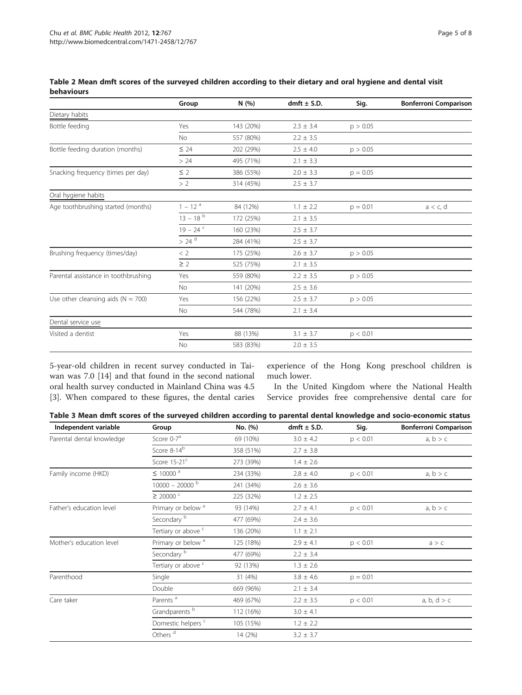| Yes                   |                                                                                                                                                                |               |            |          |
|-----------------------|----------------------------------------------------------------------------------------------------------------------------------------------------------------|---------------|------------|----------|
|                       |                                                                                                                                                                |               |            |          |
|                       | 143 (20%)                                                                                                                                                      | $2.3 \pm 3.4$ | p > 0.05   |          |
|                       | 557 (80%)                                                                                                                                                      | $2.2 \pm 3.5$ |            |          |
|                       | 202 (29%)                                                                                                                                                      | $2.5 \pm 4.0$ | p > 0.05   |          |
|                       | 495 (71%)                                                                                                                                                      | $2.1 \pm 3.3$ |            |          |
|                       | 386 (55%)                                                                                                                                                      | $2.0 \pm 3.3$ | $p = 0.05$ |          |
|                       | 314 (45%)                                                                                                                                                      | $2.5 \pm 3.7$ |            |          |
|                       |                                                                                                                                                                |               |            |          |
|                       | 84 (12%)                                                                                                                                                       | $1.1 \pm 2.2$ | $p = 0.01$ | a < c, d |
|                       | 172 (25%)                                                                                                                                                      | $2.1 \pm 3.5$ |            |          |
|                       | 160 (23%)                                                                                                                                                      | $2.5 \pm 3.7$ |            |          |
|                       | 284 (41%)                                                                                                                                                      | $2.5 \pm 3.7$ |            |          |
|                       | 175 (25%)                                                                                                                                                      | $2.6 \pm 3.7$ | p > 0.05   |          |
|                       | 525 (75%)                                                                                                                                                      | $2.1 \pm 3.5$ |            |          |
|                       | 559 (80%)                                                                                                                                                      | $2.2 \pm 3.5$ | p > 0.05   |          |
|                       | 141 (20%)                                                                                                                                                      | $2.5 \pm 3.6$ |            |          |
|                       | 156 (22%)                                                                                                                                                      | $2.5 \pm 3.7$ | p > 0.05   |          |
|                       | 544 (78%)                                                                                                                                                      | $2.1 \pm 3.4$ |            |          |
|                       |                                                                                                                                                                |               |            |          |
|                       | 88 (13%)                                                                                                                                                       | $3.1 \pm 3.7$ | p < 0.01   |          |
|                       | 583 (83%)                                                                                                                                                      | $2.0 \pm 3.5$ |            |          |
| <b>No</b><br>No<br>No | $\leq 24$<br>> 24<br>$\leq$ 2<br>> 2<br>$1 - 12$ <sup>a</sup><br>$13 - 18^{b}$<br>$19 - 24$<br>$> 24^{d}$<br>< 2<br>$\geq 2$<br>Yes<br><b>No</b><br>Yes<br>Yes |               |            |          |

<span id="page-4-0"></span>Table 2 Mean dmft scores of the surveyed children according to their dietary and oral hygiene and dental visit behaviours

5-year-old children in recent survey conducted in Taiwan was 7.0 [[14](#page-6-0)] and that found in the second national oral health survey conducted in Mainland China was 4.5 [[3\]](#page-6-0). When compared to these figures, the dental caries experience of the Hong Kong preschool children is much lower.

In the United Kingdom where the National Health Service provides free comprehensive dental care for

Table 3 Mean dmft scores of the surveyed children according to parental dental knowledge and socio-economic status

| Independent variable      | Group                         | No. (%)   | dmft $\pm$ S.D. | Sig.       | <b>Bonferroni Comparison</b> |
|---------------------------|-------------------------------|-----------|-----------------|------------|------------------------------|
| Parental dental knowledge | Score 0-7 <sup>a</sup>        | 69 (10%)  | $3.0 \pm 4.2$   | p < 0.01   | a, b > c                     |
|                           | Score 8-14 <sup>b</sup>       | 358 (51%) | $2.7 \pm 3.8$   |            |                              |
|                           | Score 15-21 <sup>c</sup>      | 273 (39%) | $1.4 \pm 2.6$   |            |                              |
| Family income (HKD)       | $\leq$ 10000 <sup>a</sup>     | 234 (33%) | $2.8 \pm 4.0$   | p < 0.01   | a, b > c                     |
|                           | $10000 - 20000$ b             | 241 (34%) | $2.6 \pm 3.6$   |            |                              |
|                           | $\geq$ 20000 $\degree$        | 225 (32%) | $1.2 \pm 2.5$   |            |                              |
| Father's education level  | Primary or below <sup>a</sup> | 93 (14%)  | $2.7 \pm 4.1$   | p < 0.01   | a, b > c                     |
|                           | Secondary <sup>b</sup>        | 477 (69%) | $2.4 \pm 3.6$   |            |                              |
|                           | Tertiary or above c           | 136 (20%) | $1.1 \pm 2.1$   |            |                              |
| Mother's education level  | Primary or below <sup>a</sup> | 125 (18%) | $2.9 \pm 4.1$   | p < 0.01   | a > c                        |
|                           | Secondary <sup>b</sup>        | 477 (69%) | $2.2 \pm 3.4$   |            |                              |
|                           | Tertiary or above c           | 92 (13%)  | $1.3 \pm 2.6$   |            |                              |
| Parenthood                | Single                        | 31 (4%)   | $3.8 \pm 4.6$   | $p = 0.01$ |                              |
|                           | Double                        | 669 (96%) | $2.1 \pm 3.4$   |            |                              |
| Care taker                | Parents <sup>a</sup>          | 469 (67%) | $2.2 \pm 3.5$   | p < 0.01   | a, b, $d > c$                |
|                           | Grandparents <sup>b</sup>     | 112 (16%) | $3.0 \pm 4.1$   |            |                              |
|                           | Domestic helpers <sup>c</sup> | 105 (15%) | $1.2 \pm 2.2$   |            |                              |
|                           | Others <sup>d</sup>           | 14 (2%)   | $3.2 \pm 3.7$   |            |                              |
|                           |                               |           |                 |            |                              |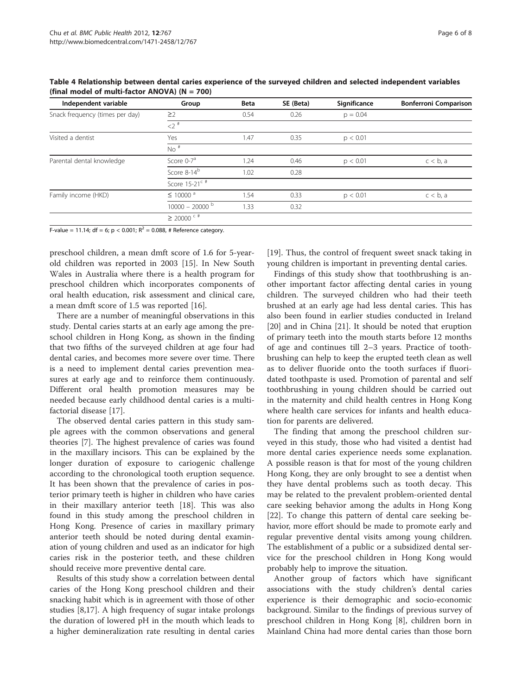| Independent variable            | Group                     | <b>Beta</b> | SE (Beta) | Significance | <b>Bonferroni Comparison</b> |
|---------------------------------|---------------------------|-------------|-----------|--------------|------------------------------|
| Snack frequency (times per day) | $\geq$ 2                  | 0.54        | 0.26      | $p = 0.04$   |                              |
|                                 | $\overline{2^*}$          |             |           |              |                              |
| Visited a dentist               | Yes                       | 1.47        | 0.35      | p < 0.01     |                              |
|                                 | $No$ #                    |             |           |              |                              |
| Parental dental knowledge       | Score 0-7 <sup>a</sup>    | 1.24        | 0.46      | p < 0.01     | $c < b$ , a                  |
|                                 | Score 8-14 <sup>b</sup>   | 1.02        | 0.28      |              |                              |
|                                 | Score 15-21 <sup>c#</sup> |             |           |              |                              |
| Family income (HKD)             | $\leq$ 10000 <sup>a</sup> | 1.54        | 0.33      | p < 0.01     | $c < b$ , a                  |
|                                 | $10000 - 20000$ b         | .33         | 0.32      |              |                              |
|                                 | $\geq$ 20000 $^{\circ}$ # |             |           |              |                              |

<span id="page-5-0"></span>Table 4 Relationship between dental caries experience of the surveyed children and selected independent variables (final model of multi-factor ANOVA) (N = 700)

F-value = 11.14;  $df = 6$ ;  $p < 0.001$ ;  $R^2 = 0.088$ , # Reference category.

preschool children, a mean dmft score of 1.6 for 5-yearold children was reported in 2003 [[15](#page-6-0)]. In New South Wales in Australia where there is a health program for preschool children which incorporates components of oral health education, risk assessment and clinical care, a mean dmft score of 1.5 was reported [\[16\]](#page-6-0).

There are a number of meaningful observations in this study. Dental caries starts at an early age among the preschool children in Hong Kong, as shown in the finding that two fifths of the surveyed children at age four had dental caries, and becomes more severe over time. There is a need to implement dental caries prevention measures at early age and to reinforce them continuously. Different oral health promotion measures may be needed because early childhood dental caries is a multifactorial disease [[17](#page-6-0)].

The observed dental caries pattern in this study sample agrees with the common observations and general theories [[7\]](#page-6-0). The highest prevalence of caries was found in the maxillary incisors. This can be explained by the longer duration of exposure to cariogenic challenge according to the chronological tooth eruption sequence. It has been shown that the prevalence of caries in posterior primary teeth is higher in children who have caries in their maxillary anterior teeth [[18\]](#page-6-0). This was also found in this study among the preschool children in Hong Kong. Presence of caries in maxillary primary anterior teeth should be noted during dental examination of young children and used as an indicator for high caries risk in the posterior teeth, and these children should receive more preventive dental care.

Results of this study show a correlation between dental caries of the Hong Kong preschool children and their snacking habit which is in agreement with those of other studies [\[8,17](#page-6-0)]. A high frequency of sugar intake prolongs the duration of lowered pH in the mouth which leads to a higher demineralization rate resulting in dental caries [[19\]](#page-6-0). Thus, the control of frequent sweet snack taking in young children is important in preventing dental caries.

Findings of this study show that toothbrushing is another important factor affecting dental caries in young children. The surveyed children who had their teeth brushed at an early age had less dental caries. This has also been found in earlier studies conducted in Ireland [[20\]](#page-7-0) and in China [\[21\]](#page-7-0). It should be noted that eruption of primary teeth into the mouth starts before 12 months of age and continues till 2–3 years. Practice of toothbrushing can help to keep the erupted teeth clean as well as to deliver fluoride onto the tooth surfaces if fluoridated toothpaste is used. Promotion of parental and self toothbrushing in young children should be carried out in the maternity and child health centres in Hong Kong where health care services for infants and health education for parents are delivered.

The finding that among the preschool children surveyed in this study, those who had visited a dentist had more dental caries experience needs some explanation. A possible reason is that for most of the young children Hong Kong, they are only brought to see a dentist when they have dental problems such as tooth decay. This may be related to the prevalent problem-oriented dental care seeking behavior among the adults in Hong Kong [[22\]](#page-7-0). To change this pattern of dental care seeking behavior, more effort should be made to promote early and regular preventive dental visits among young children. The establishment of a public or a subsidized dental service for the preschool children in Hong Kong would probably help to improve the situation.

Another group of factors which have significant associations with the study children's dental caries experience is their demographic and socio-economic background. Similar to the findings of previous survey of preschool children in Hong Kong [[8\]](#page-6-0), children born in Mainland China had more dental caries than those born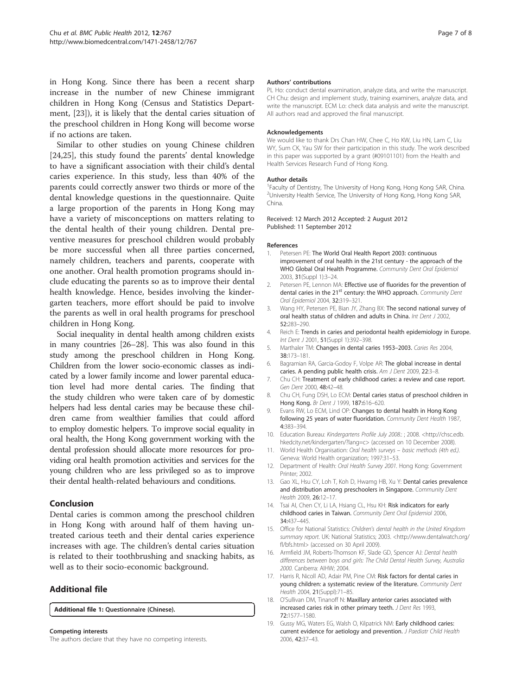<span id="page-6-0"></span>in Hong Kong. Since there has been a recent sharp increase in the number of new Chinese immigrant children in Hong Kong (Census and Statistics Department, [[23\]](#page-7-0)), it is likely that the dental caries situation of the preschool children in Hong Kong will become worse if no actions are taken.

Similar to other studies on young Chinese children [[24,25\]](#page-7-0), this study found the parents' dental knowledge to have a significant association with their child's dental caries experience. In this study, less than 40% of the parents could correctly answer two thirds or more of the dental knowledge questions in the questionnaire. Quite a large proportion of the parents in Hong Kong may have a variety of misconceptions on matters relating to the dental health of their young children. Dental preventive measures for preschool children would probably be more successful when all three parties concerned, namely children, teachers and parents, cooperate with one another. Oral health promotion programs should include educating the parents so as to improve their dental health knowledge. Hence, besides involving the kindergarten teachers, more effort should be paid to involve the parents as well in oral health programs for preschool children in Hong Kong.

Social inequality in dental health among children exists in many countries [[26](#page-7-0)–[28\]](#page-7-0). This was also found in this study among the preschool children in Hong Kong. Children from the lower socio-economic classes as indicated by a lower family income and lower parental education level had more dental caries. The finding that the study children who were taken care of by domestic helpers had less dental caries may be because these children came from wealthier families that could afford to employ domestic helpers. To improve social equality in oral health, the Hong Kong government working with the dental profession should allocate more resources for providing oral health promotion activities and services for the young children who are less privileged so as to improve their dental health-related behaviours and conditions.

#### Conclusion

Dental caries is common among the preschool children in Hong Kong with around half of them having untreated carious teeth and their dental caries experience increases with age. The children's dental caries situation is related to their toothbrushing and snacking habits, as well as to their socio-economic background.

## Additional file

[Additional file 1:](http://www.biomedcentral.com/content/supplementary/1471-2458-12-767-S1.pdf) Questionnaire (Chinese).

#### Competing interests

The authors declare that they have no competing interests.

#### Authors' contributions

PL Ho: conduct dental examination, analyze data, and write the manuscript. CH Chu: design and implement study, training examiners, analyze data, and write the manuscript. ECM Lo: check data analysis and write the manuscript. All authors read and approved the final manuscript.

#### Acknowledgements

We would like to thank Drs Chan HW, Chee C, Ho KW, Liu HN, Lam C, Liu WY, Sum CK, Yau SW for their participation in this study. The work described in this paper was supported by a grant (#09101101) from the Health and Health Services Research Fund of Hong Kong.

#### Author details

<sup>1</sup> Faculty of Dentistry, The University of Hong Kong, Hong Kong SAR, China. <sup>2</sup>University Health Service, The University of Hong Kong, Hong Kong SAR China.

Received: 12 March 2012 Accepted: 2 August 2012 Published: 11 September 2012

#### References

- 1. Petersen PE: The World Oral Health Report 2003: continuous improvement of oral health in the 21st century - the approach of the WHO Global Oral Health Programme. Community Dent Oral Epidemiol 2003, 31(Suppl 1):3–24.
- 2. Petersen PE, Lennon MA: Effective use of fluorides for the prevention of dental caries in the 21<sup>st</sup> century: the WHO approach. Community Dent Oral Epidemiol 2004, 32:319–321.
- 3. Wang HY, Petersen PE, Bian JY, Zhang BX: The second national survey of oral health status of children and adults in China. Int Dent J 2002, 52:283–290.
- 4. Reich E: Trends in caries and periodontal health epidemiology in Europe. Int Dent J 2001, 51(Suppl 1):392–398.
- 5. Marthaler TM: Changes in dental caries 1953–2003. Caries Res 2004, 38:173–181.
- 6. Bagramian RA, Garcia-Godoy F, Volpe AR: The global increase in dental caries. A pending public health crisis. Am J Dent 2009, 22:3–8.
- 7. Chu CH: Treatment of early childhood caries: a review and case report. Gen Dent 2000, 48:42–48.
- 8. Chu CH, Fung DSH, Lo ECM: Dental caries status of preschool children in Hong Kong. Br Dent J 1999, 187:616–620.
- 9. Evans RW, Lo ECM, Lind OP: Changes to dental health in Hong Kong following 25 years of water fluoridation. Community Dent Health 1987, 4:383–394.
- 10. Education Bureau: Kindergartens Profile July 2008.: ; 2008. <[http://chsc.edb.](http://chsc.edb.hkedcity.net/kindergarten/?lang=c) [hkedcity.net/kindergarten/?lang=c](http://chsc.edb.hkedcity.net/kindergarten/?lang=c)> (accessed on 10 December 2008).
- 11. World Health Organisation: Oral health surveys basic methods (4th ed.). Geneva: World Health organization; 1997:31–53.
- 12. Department of Health: Oral Health Survey 2001. Hong Kong: Government Printer; 2002.
- 13. Gao XL, Hsu CY, Loh T, Koh D, Hwamg HB, Xu Y: Dental caries prevalence and distribution among preschoolers in Singapore. Community Dent Health 2009, 26:12–17.
- 14. Tsai AI, Chen CY, Li LA, Hsiang CL, Hsu KH: Risk indicators for early childhood caries in Taiwan. Community Dent Oral Epidemiol 2006, 34:437–445.
- 15. Office for National Statistics: Children's dental health in the United Kingdom summary report. UK: National Statistics; 2003. <[http://www.dentalwatch.org/](http://www.dentalwatch.org/fl/bfs.html) [fl/bfs.html](http://www.dentalwatch.org/fl/bfs.html)> (accessed on 30 April 2009).
- 16. Armfield JM, Roberts-Thomson KF, Slade GD, Spencer AJ: Dental health differences between boys and girls: The Child Dental Health Survey, Australia 2000. Canberra: AIHW; 2004.
- 17. Harris R, Nicoll AD, Adair PM, Pine CM: Risk factors for dental caries in young children: a systematic review of the literature. Community Dent Health 2004, 21 (Suppl): 71-85.
- 18. O'Sullivan DM, Tinanoff N: Maxillary anterior caries associated with increased caries risk in other primary teeth. J Dent Res 1993, 72:1577–1580.
- 19. Gussy MG, Waters EG, Walsh O, Kilpatrick NM: Early childhood caries: current evidence for aetiology and prevention. J Paediatr Child Health 2006, 42:37–43.